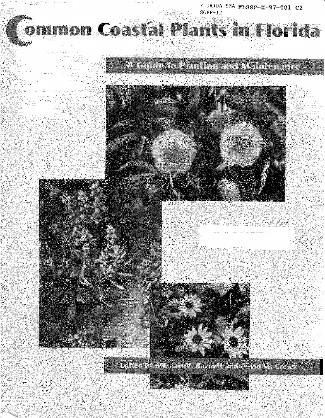FLORIDA SEA  $FLSGP-H-97-001$  C2 SGEP-12

a atau cu

# nmon Coastal Plants in Florida

#### **Concerting** ومعاملت والمراضين ومروج ومراجع ما الروابط المدين

thinks a subtitu

- 1011124223

ana<br><sup>San</sup>angsupung - 1429 (278) لاستسح

#### haw i i Tipi<br>1979 - Papa North Co a della **Since**

## A Guide to Planting and Maintenance







Edited by Michael R. Barnett and David W. Crewz

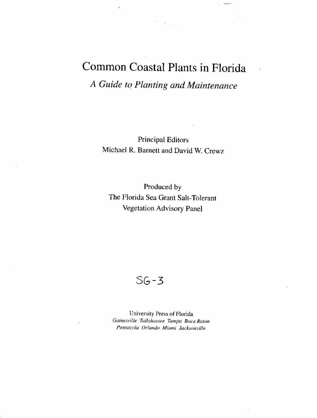# Common Coastal Plants in Florida A Guide to Planting and Maintenance

 $\sigma_{\rm{max}}$ 

Principal Editors Michael R. Barnett and David W. Crewz

Produced by The Florida Sea Grant Salt-Tolerant Vegetation Advisory Panel

 $SG-3$ 

University Press of Florida Gainesville Tallahassee Tampa Boca Raton Pensacola Orlando Miami Jacksonville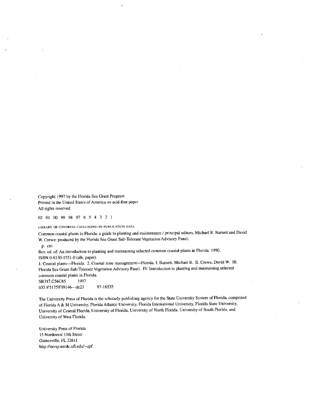Copyright 1997 by the Florida Sea Grant Program Printed in the United States of America on acid-free paper All rights reserved

02 01 00 99 98 97 6 5 4 3 2 I

**LIBRARY OF CONGRESS CATALOGING-IN-PUBLICATION DATA**

Common coastal plants in Florida: a guide to planting and maintenance / principal editors, Michael R. Barnett and David W. Crewz: produced by the Florida Sea Grant Salt-Tolerant Vegetation Advisory Panel.

p. cm.

Rev. ed. of: An introduction to planting and maintaining selected common coastal plants **in** Florida. 1990. ISBN 0-8130-1551-0 (alk. paper)

1. Coastal pants Florida. 2, Coastal zone management Florida. I. Barnett, Michael R. II. Crewz, David W. **Ill.** Florida Sea Grant Salt-Tolerant Vegetation Advisory Panel, **IV.** Introduction to planting and maintaining selected common coastal plants in Florida.<br>SB317.C56C65 1997

SB317.C56C65 635.9'51759'09146---dc21 97-16535

The University Press of Florida is the scholarly publishing agency for the State University System of Florida, comprised of Florida A k M University, Florida Atlantic University, Florida International University, Florida State University, University of Central Florida, University of Florida, University of North Florida, University of South Florida, nd University of West Florida.

University Press of Florida 15 Northwest 15th Street Gainesville, FL 32611 http://nersp. nerdc.ufl.edu/-upf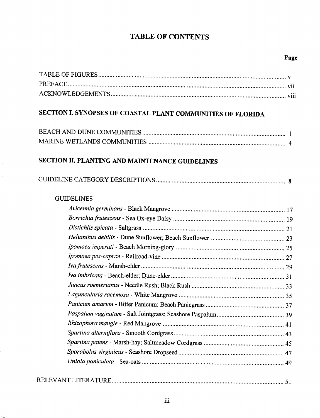## **TABLE OF CONTENTS**

## **Page**

| SECTION I. SYNOPSES OF COASTAL PLANT COMMUNITIES OF FLORIDA |  |
|-------------------------------------------------------------|--|
|                                                             |  |
|                                                             |  |
| SECTION II. PLANTING AND MAINTENANCE GUIDELINES             |  |
|                                                             |  |
| <b>GUIDELINES</b>                                           |  |
|                                                             |  |
|                                                             |  |
|                                                             |  |
|                                                             |  |
|                                                             |  |
|                                                             |  |
|                                                             |  |
|                                                             |  |
|                                                             |  |
|                                                             |  |
|                                                             |  |
|                                                             |  |
|                                                             |  |
|                                                             |  |
|                                                             |  |
|                                                             |  |
|                                                             |  |
|                                                             |  |
|                                                             |  |

 $\hat{\mathcal{L}}$ 

l,

 $\overline{\phantom{0}}$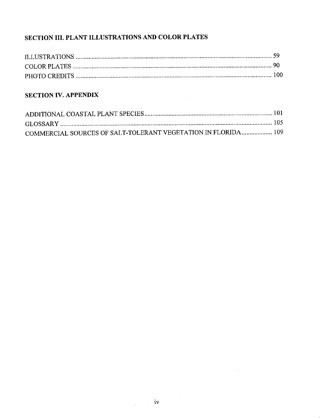## **SECTION III. PLANT ILLUSTRATIONS AND COLOR PLATES**

#### **SECTION IV. APPENDIX**

| COMMERCIAL SOURCES OF SALT-TOLERANT VEGETATION IN FLORIDA 109 |  |
|---------------------------------------------------------------|--|

 $\mathcal{L}$ 

 $\mathcal{A}$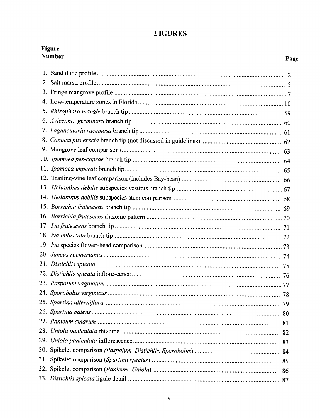### **FIGURES**

|    | Figure<br><b>Number</b> | Page |
|----|-------------------------|------|
|    |                         |      |
| 2. |                         |      |
|    |                         |      |
|    |                         |      |
|    |                         |      |
|    |                         |      |
|    |                         |      |
|    |                         |      |
|    |                         |      |
|    |                         |      |
|    |                         |      |
|    |                         |      |
|    |                         |      |
|    |                         |      |
|    |                         |      |
|    |                         |      |
|    |                         |      |
|    |                         |      |
|    |                         |      |
|    |                         |      |
|    |                         |      |
|    |                         |      |
|    |                         |      |
|    |                         |      |
|    |                         |      |
|    |                         |      |
|    |                         |      |
|    |                         |      |
|    |                         |      |
|    |                         |      |
|    |                         |      |
|    |                         |      |
|    |                         |      |

 $\frac{1}{2}$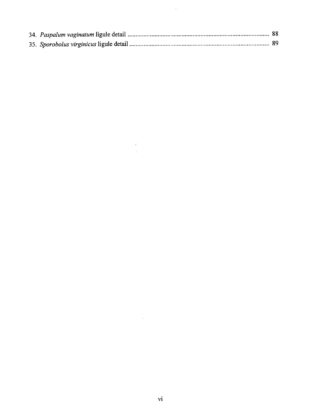$\sim 10^{-1}$ 

 $\mathcal{L}^{\text{max}}_{\text{max}}$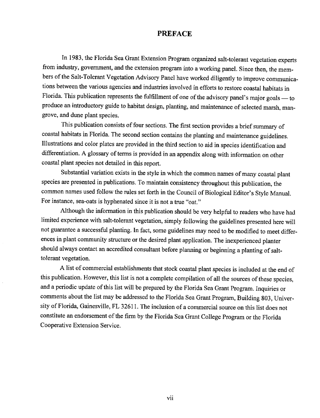#### **PREFACE**

In 1983, the Florida Sea Grant Extension Program organized salt-tolerant vegetation experts from industry, government, and the extension program into a working panel. Since then, the members of the Salt-Tolerant Vegetation Advisory Panel have worked diligently to improve communications between the various agencies and industries involved in efforts to restore coastal habitats in Florida. This publication represents the fulfillment of one of the advisory panel's major goals — to produce an introductory guide to habitat design, planting, and maintenance of selected marsh, mangrove, and dune plant species.

This publication consists of four sections. The first section provides a brief summary of coastal habitats in Florida. The second section contains the planting and maintenance guidelines. Illustrations and color plates are provided in the third section to aid in species identification and differentiation, A glossary of terms is provided in an appendix along with information on other coastal plant species not detailed in this report.

Substantial variation exists in the style in which the common names of many coastal plant species are presented in publications, To maintain consistency throughout this publication, the common ames used follow the rules set forth in the Council of Biological Editor's Style Manual. For instance, sea-oats is hyphenated since it is not a true "oat."

Although the information in this publication should be very helpful to readers who have had limited experience with salt-tolerant vegetation, simply following the guidelines presented here will not guarantee a successful planting. In fact, some guidelines may need to be modified to meet differences in plant community structure or the desired plant application. The inexperienced planter should always contact an accredited consultant before planning or beginning a planting of salttolerant vegetation.

A list of commercial establishments that stock coastal plant species is included at the end of this publication. However, this list is not a complete compilation of all the sources of these species, and a periodic update of this list will be prepared by the Florida Sea Grant Program. Inquiries or comments about the list may be addressed to the Florida Sea Grant Program, Building 803, University of Florida, Gainesville, FL 32611. The inclusion of a commercial source on this list does not constitute an endorsement of he firm by the Florida Sea Grant College Program or the Florida Cooperative Extension Service.